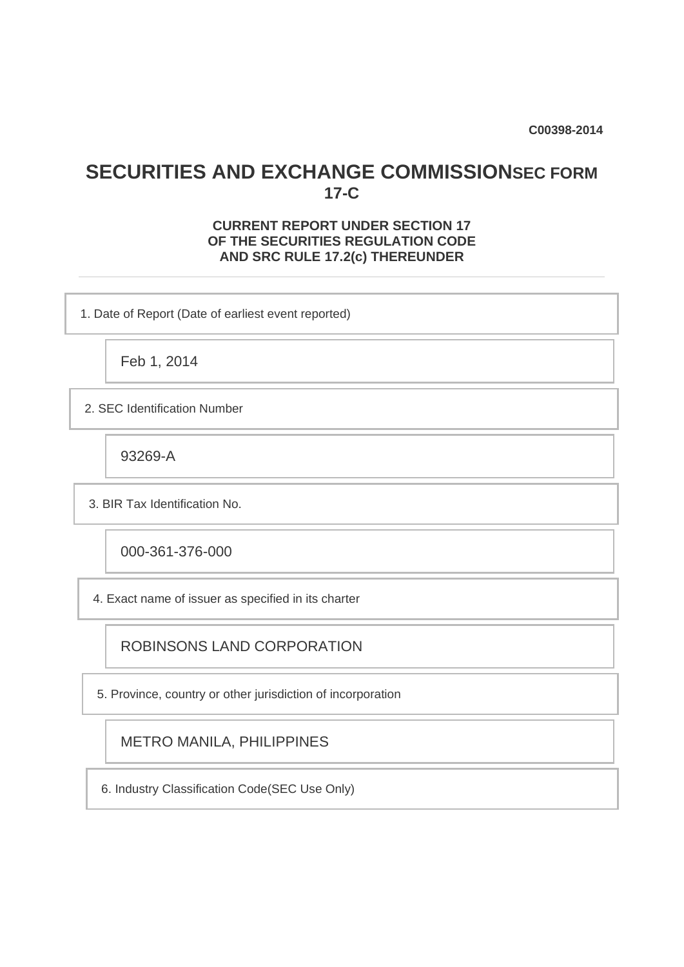**C00398-2014**

## **SECURITIES AND EXCHANGE COMMISSIONSEC FORM 17-C**

## **CURRENT REPORT UNDER SECTION 17 OF THE SECURITIES REGULATION CODE AND SRC RULE 17.2(c) THEREUNDER**

1. Date of Report (Date of earliest event reported)

Feb 1, 2014

2. SEC Identification Number

93269-A

3. BIR Tax Identification No.

000-361-376-000

4. Exact name of issuer as specified in its charter

ROBINSONS LAND CORPORATION

5. Province, country or other jurisdiction of incorporation

METRO MANILA, PHILIPPINES

6. Industry Classification Code(SEC Use Only)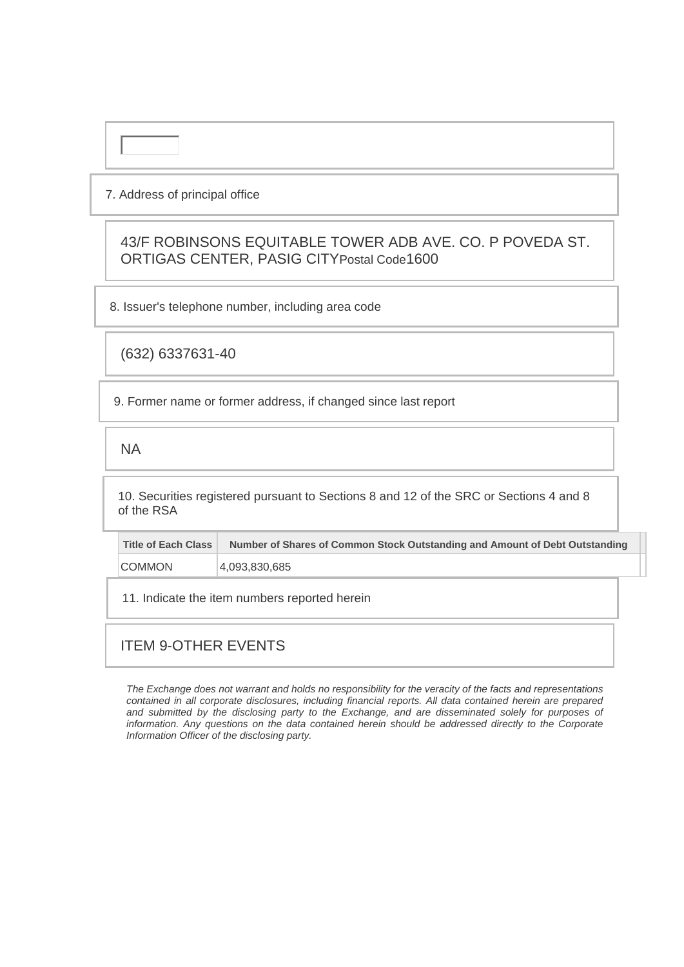### 7. Address of principal office

43/F ROBINSONS EQUITABLE TOWER ADB AVE. CO. P POVEDA ST. ORTIGAS CENTER, PASIG CITYPostal Code1600

8. Issuer's telephone number, including area code

(632) 6337631-40

9. Former name or former address, if changed since last report

NA

10. Securities registered pursuant to Sections 8 and 12 of the SRC or Sections 4 and 8 of the RSA

| Title of Each Class | Number of Shares of Common Stock Outstanding and Amount of Debt Outstanding |
|---------------------|-----------------------------------------------------------------------------|
| <b>COMMON</b>       | 4,093,830,685                                                               |

11. Indicate the item numbers reported herein

## ITEM 9-OTHER EVENTS

*The Exchange does not warrant and holds no responsibility for the veracity of the facts and representations contained in all corporate disclosures, including financial reports. All data contained herein are prepared and submitted by the disclosing party to the Exchange, and are disseminated solely for purposes of information. Any questions on the data contained herein should be addressed directly to the Corporate Information Officer of the disclosing party.*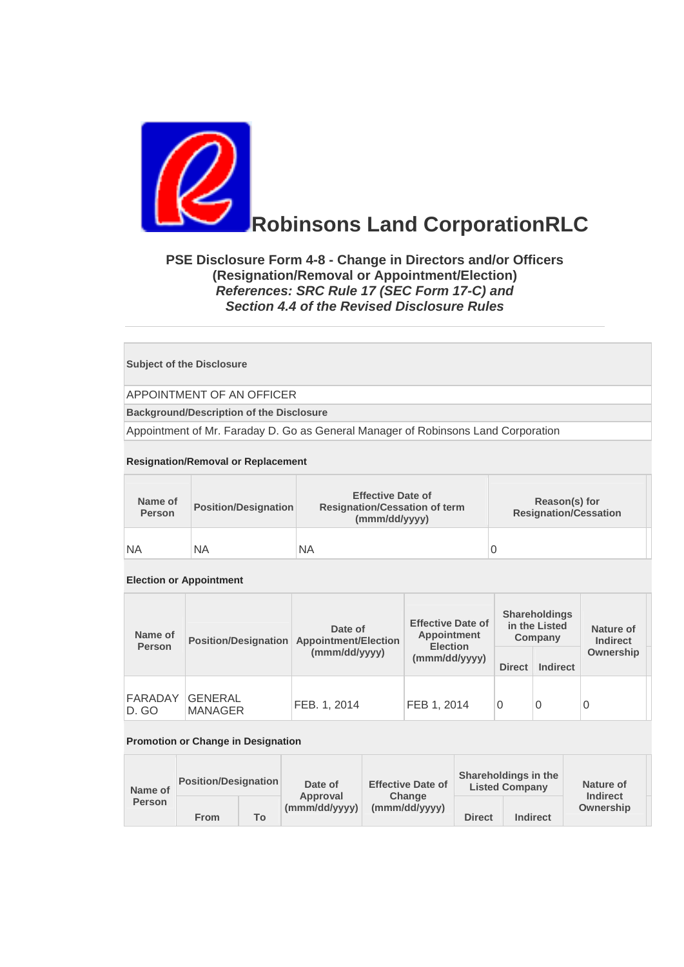

# **Robinsons Land CorporationRLC**

## **PSE Disclosure Form 4-8 - Change in Directors and/or Officers (Resignation/Removal or Appointment/Election)**  *References: SRC Rule 17 (SEC Form 17-C) and Section 4.4 of the Revised Disclosure Rules*

#### **Subject of the Disclosure**

APPOINTMENT OF AN OFFICER

**Background/Description of the Disclosure**

Appointment of Mr. Faraday D. Go as General Manager of Robinsons Land Corporation

#### **Resignation/Removal or Replacement**

| Name of<br><b>Person</b> | <b>Position/Designation</b> | <b>Effective Date of</b><br><b>Resignation/Cessation of term</b><br>(mmm/dd/yyyy) | Reason(s) for<br><b>Resignation/Cessation</b> |
|--------------------------|-----------------------------|-----------------------------------------------------------------------------------|-----------------------------------------------|
| NA                       | <b>NA</b>                   | <b>NA</b>                                                                         | 0                                             |

#### **Election or Appointment**

| Name of<br><b>Person</b> | <b>Position/Designation</b>      | Date of<br><b>Appointment/Election</b> | <b>Effective Date of</b><br>Appointment<br><b>Election</b> | <b>Shareholdings</b><br>in the Listed<br>Company |                 | Nature of<br><b>Indirect</b> |  |
|--------------------------|----------------------------------|----------------------------------------|------------------------------------------------------------|--------------------------------------------------|-----------------|------------------------------|--|
|                          |                                  | (mmm/dd/yyyy)                          | (mmm/dd/yyyy)                                              | <b>Direct</b>                                    | <b>Indirect</b> | Ownership                    |  |
| <b>FARADAY</b><br>D. GO  | <b>GENERAL</b><br><b>MANAGER</b> | FEB. 1. 2014                           | FEB 1, 2014                                                |                                                  | 0               | 0                            |  |

#### **Promotion or Change in Designation**

| Name of<br><b>Person</b> | <b>Position/Designation</b> |    | Date of                   | <b>Effective Date of</b> | Shareholdings in the<br><b>Listed Company</b> |                 | Nature of                    |
|--------------------------|-----------------------------|----|---------------------------|--------------------------|-----------------------------------------------|-----------------|------------------------------|
|                          | <b>From</b>                 | To | Approval<br>(mmm/dd/yyyy) | Change<br>(mmm/dd/yyyy)  | <b>Direct</b>                                 | <b>Indirect</b> | <b>Indirect</b><br>Ownership |